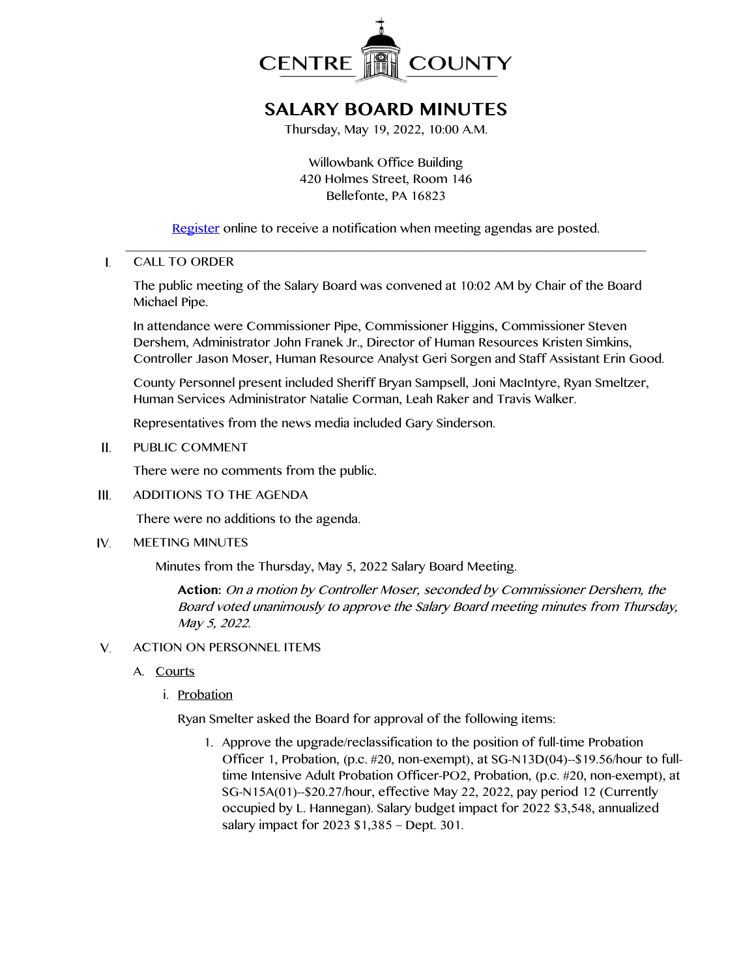

# **SALARY BOARD MINUTES**

Thursday, May 19, 2022, 10:00 A.M.

Willowbank Office Building 420 Holmes Street, Room 146 Bellefonte, PA 16823

[Register](http://www.centrecountypa.gov/AgendaCenter) online to receive a notification when meeting agendas are posted. \_\_\_\_\_\_\_\_\_\_\_\_\_\_\_\_\_\_\_\_\_\_\_\_\_\_\_\_\_\_\_\_\_\_\_\_\_\_\_\_\_\_\_\_\_\_\_\_\_\_\_\_\_\_\_\_\_\_\_\_\_\_\_\_\_\_\_\_\_\_\_\_\_\_\_\_\_\_

 $\mathbf{L}$ CALL TO ORDER

> The public meeting of the Salary Board was convened at 10:02 AM by Chair of the Board Michael Pipe.

In attendance were Commissioner Pipe, Commissioner Higgins, Commissioner Steven Dershem, Administrator John Franek Jr., Director of Human Resources Kristen Simkins, Controller Jason Moser, Human Resource Analyst Geri Sorgen and Staff Assistant Erin Good.

County Personnel present included Sheriff Bryan Sampsell, Joni MacIntyre, Ryan Smeltzer, Human Services Administrator Natalie Corman, Leah Raker and Travis Walker.

Representatives from the news media included Gary Sinderson.

PUBLIC COMMENT  $II.$ 

There were no comments from the public.

 $III.$ ADDITIONS TO THE AGENDA

There were no additions to the agenda.

IV. MEETING MINUTES

Minutes from the Thursday, May 5, 2022 Salary Board Meeting.

**Action:** On a motion by Controller Moser, seconded by Commissioner Dershem, the Board voted unanimously to approve the Salary Board meeting minutes from Thursday, May 5, 2022.

- $V_{1}$ ACTION ON PERSONNEL ITEMS
	- A. Courts
		- i. Probation

Ryan Smelter asked the Board for approval of the following items:

1. Approve the upgrade/reclassification to the position of full-time Probation Officer 1, Probation, (p.c. #20, non-exempt), at SG-N13D(04)--\$19.56/hour to fulltime Intensive Adult Probation Officer-PO2, Probation, (p.c. #20, non-exempt), at SG-N15A(01)--\$20.27/hour, effective May 22, 2022, pay period 12 (Currently occupied by L. Hannegan). Salary budget impact for 2022 \$3,548, annualized salary impact for 2023 \$1,385 – Dept. 301.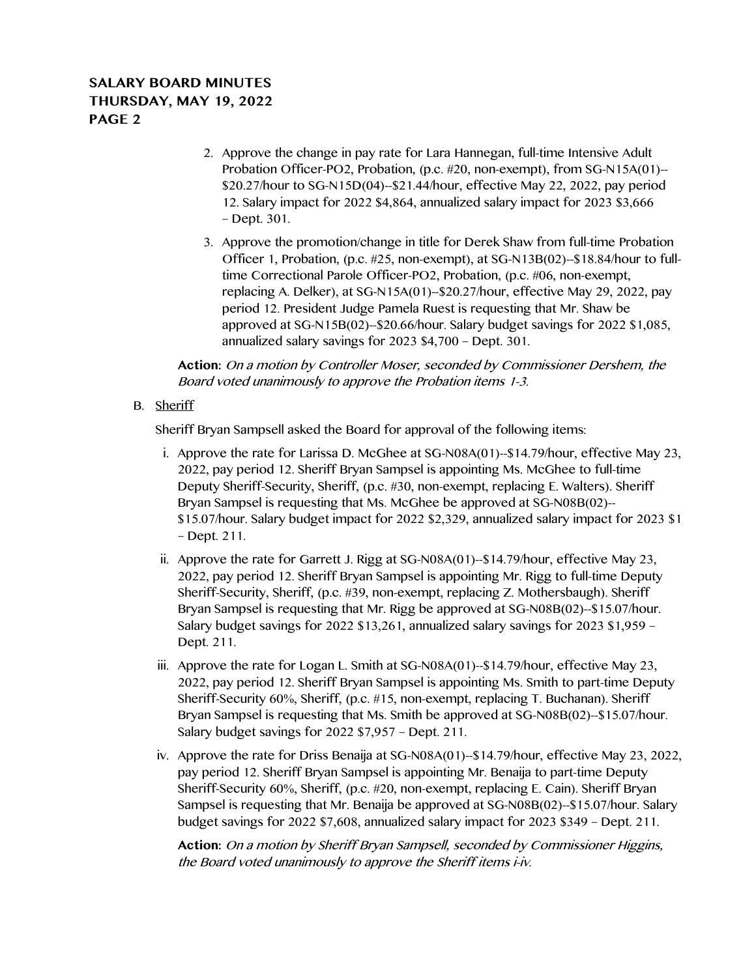# **SALARY BOARD MINUTES THURSDAY, MAY 19, 2022 PAGE 2**

- 2. Approve the change in pay rate for Lara Hannegan, full-time Intensive Adult Probation Officer-PO2, Probation, (p.c. #20, non-exempt), from SG-N15A(01)-- \$20.27/hour to SG-N15D(04)--\$21.44/hour, effective May 22, 2022, pay period 12. Salary impact for 2022 \$4,864, annualized salary impact for 2023 \$3,666 – Dept. 301.
- 3. Approve the promotion/change in title for Derek Shaw from full-time Probation Officer 1, Probation, (p.c. #25, non-exempt), at SG-N13B(02)--\$18.84/hour to fulltime Correctional Parole Officer-PO2, Probation, (p.c. #06, non-exempt, replacing A. Delker), at SG-N15A(01)--\$20.27/hour, effective May 29, 2022, pay period 12. President Judge Pamela Ruest is requesting that Mr. Shaw be approved at SG-N15B(02)--\$20.66/hour. Salary budget savings for 2022 \$1,085, annualized salary savings for 2023 \$4,700 – Dept. 301.

**Action:** On a motion by Controller Moser, seconded by Commissioner Dershem, the Board voted unanimously to approve the Probation items 1-3.

### B. Sheriff

Sheriff Bryan Sampsell asked the Board for approval of the following items:

- i. Approve the rate for Larissa D. McGhee at SG-N08A(01)--\$14.79/hour, effective May 23, 2022, pay period 12. Sheriff Bryan Sampsel is appointing Ms. McGhee to full-time Deputy Sheriff-Security, Sheriff, (p.c. #30, non-exempt, replacing E. Walters). Sheriff Bryan Sampsel is requesting that Ms. McGhee be approved at SG-N08B(02)-- \$15.07/hour. Salary budget impact for 2022 \$2,329, annualized salary impact for 2023 \$1 – Dept. 211.
- ii. Approve the rate for Garrett J. Rigg at SG-N08A(01)--\$14.79/hour, effective May 23, 2022, pay period 12. Sheriff Bryan Sampsel is appointing Mr. Rigg to full-time Deputy Sheriff-Security, Sheriff, (p.c. #39, non-exempt, replacing Z. Mothersbaugh). Sheriff Bryan Sampsel is requesting that Mr. Rigg be approved at SG-N08B(02)--\$15.07/hour. Salary budget savings for 2022 \$13,261, annualized salary savings for 2023 \$1,959 – Dept. 211.
- iii. Approve the rate for Logan L. Smith at SG-N08A(01)--\$14.79/hour, effective May 23, 2022, pay period 12. Sheriff Bryan Sampsel is appointing Ms. Smith to part-time Deputy Sheriff-Security 60%, Sheriff, (p.c. #15, non-exempt, replacing T. Buchanan). Sheriff Bryan Sampsel is requesting that Ms. Smith be approved at SG-N08B(02)--\$15.07/hour. Salary budget savings for 2022 \$7,957 – Dept. 211.
- iv. Approve the rate for Driss Benaija at SG-N08A(01)--\$14.79/hour, effective May 23, 2022, pay period 12. Sheriff Bryan Sampsel is appointing Mr. Benaija to part-time Deputy Sheriff-Security 60%, Sheriff, (p.c. #20, non-exempt, replacing E. Cain). Sheriff Bryan Sampsel is requesting that Mr. Benaija be approved at SG-N08B(02)--\$15.07/hour. Salary budget savings for 2022 \$7,608, annualized salary impact for 2023 \$349 – Dept. 211.

**Action:** On a motion by Sheriff Bryan Sampsell, seconded by Commissioner Higgins, the Board voted unanimously to approve the Sheriff items i-iv.